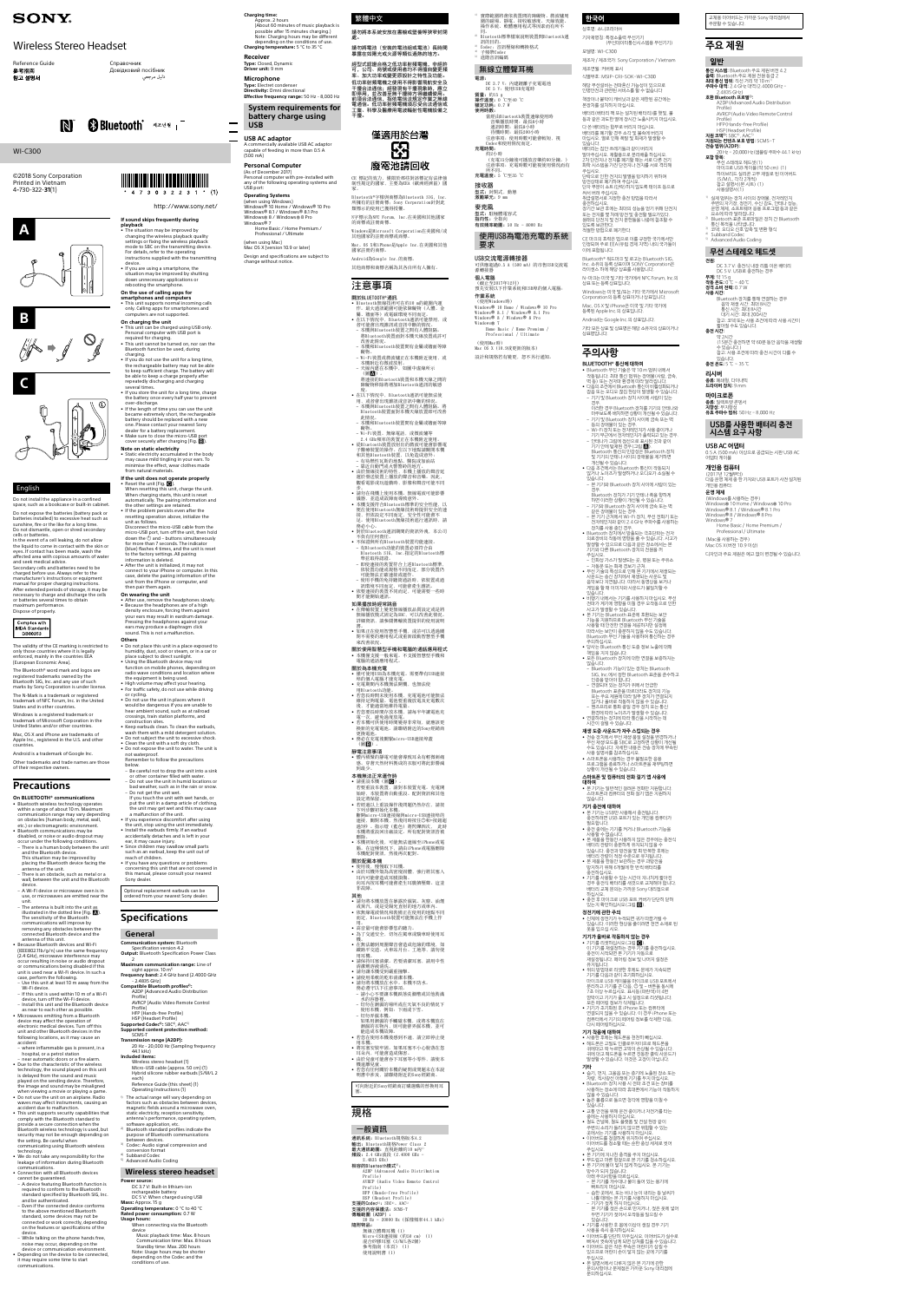











# English

Do not install the appliance in a confined space, such as a bookcase or built-in cabinet.

Do not expose the batteries (battery pack or batteries installed) to excessive heat such as sunshine, fire or the like for a long time. Do not dismantle, open or shred secondary cells or batteries.

In the event of a cell leaking, do not allow the liquid to come in contact with the skin or eyes. If contact has been made, wash the affected area with copious amounts of water

and seek medical advice. Secondary cells and batteries need to be charged before use. Always refer to the manufacturer's instructions or equipment manual for proper charging instructions. After extended periods of storage, it may be necessary to charge and discharge the cells or batteries several times to obtain

maximum performance.



The validity of the CE marking is restricted to only those countries where it is legally enforced, mainly in the countries EEA (European Economic Area).

The Bluetooth® word mark and logos are registered trademarks owned by the Bluetooth SIG, Inc. and any use of such marks by Sony Corporation is under license.

The N-Mark is a trademark or registered

trademark of NFC Forum, Inc. in the United States and in other countries. Windows is a registered trademark or

- The antenna is built into the unit a illustrated in the dotted line (Fig.  $\blacksquare$ ). The sensitivity of the Bluetooth communications will improve by removing any obstacles between the connected Bluetooth device and the antenna of this unit.

trademark of Microsoft Corporation in the United States and/or other countries. Mac, OS X and iPhone are trademarks of

Apple Inc., registered in the U.S. and other countries.

Android is a trademark of Google Inc. Other trademarks and trade names are those

of their respective owners.

## **Precautions**

where inflammable gas is present, in a hospital, or a petrol station – near automatic doors or a fire alarm.

**On BLUETOOTH® communications** • Bluetooth wireless technology operates within a range of about 10 m. Maximum communication range may vary depending on obstacles (human body, metal, wall, etc.) or electromagnetic environment. • Bluetooth communications may be disabled, or noise or audio dropout may

technology. • We do not take any responsibility for the leakage of information during Bluetooth communications

occur under the following conditions. – There is a human body between the unit and the Bluetooth device. This situation may be improved by placing the Bluetooth device facing the

antenna of the unit.

 – There is an obstacle, such as metal or a wall, between the unit and the Bluetooth device.

 – A Wi-Fi device or microwave oven is in use, or microwaves are emitted near the unit.

device. – While talking on the phone hands free, noise may occur, depending on the device or communication env

• Depending on the device to be connected, it may require some time to start nications

• Because Bluetooth devices and Wi-Fi (IEEE802.11b/g/n) use the same frequency (2.4 GHz), microwave interference may occur resulting in noise or audio dropout or communications being disabled if this unit is used near a Wi-Fi device. In such a case, perform the following.

 – Use this unit at least 10 m away from the Wi-Fi device – If this unit is used within 10 m of a Wi-Fi

charging. • If you do not use the unit for a long time, the rechargeable battery may not be able to keep sufficient charge. The battery will be able to keep a charge properly after repeatedly discharging and charging several times.

battery should be replaced with a new one. Please contact your nearest Sony dealer for a battery replacement. • Make sure to close the micro-USB por cover securely after charging (Fig. **B**).

device, turn off the Wi-Fi device. – Install this unit and the Bluetooth device as near to each other as possible. • Microwaves emitting from a Bluetooth

device may affect the operation of electronic medical devices. Turn off this unit and other Bluetooth devices in the following locations, as it may cause an accident:

• Reset the unit (Fig.  $\bigcirc$ ).<br>When resetting this unit, charge the unit. When charging starts, this unit is reset automatically. The pairing information and the other settings are retained. • If the problem persists even after the resetting operation above, initialize the unit as follows.

Disconnect the micro-USB cable from the<br>micro-USB port, turn off the unit, then hold<br>down the ① and – buttons simultaneously for more than 7 seconds. The indicator (blue) flashes 4 times, and the unit is reset to the factory settings. All pairing

• Due to the characteristic of the wireless technology, the sound played on this unit is delayed from the sound and music played on the sending device. Therefore, the image and sound may be misaligned when viewing a movie or playing a game • Do not use the unit on an airplane. Radio

• After use, remove the headphones slowly. • Because the headphones are of a high density enclosure, forcing them against your ears may result in eardrum damage. Pressing the headphones against your ears may produce a diaphragm click sound. This is not a malfunction.

waves may affect instruments, causing an accident due to malfunction. • This unit supports security capabilities that comply with the Bluetooth standard to

provide a secure connection when the Bluetooth wireless technology is used, but security may not be enough depending on

the setting. Be careful when communicating using Bluetooth wireless

• Connection with all Bluetooth devices cannot be guaranteed. – A device featuring Bluetooth function is

required to conform to the Bluetooth standard specified by Bluetooth SIG, Inc.

and be authenticated. – Even if the connected device conforms to the above mentioned Bluetooth standard, some devices may not be connected or work correctly, depending on the features or specifications of the

sight approx. 10 m<sup>1)</sup> **Frequency band:** 2.4 GHz band (2.4000 GHz - 2.4835 GHz)

**If sound skips frequently during** 

7 3 0 3 2 2 3 1 \*

**playback**

• The situation may be improved by changing the wireless playback quality settings or fixing the wireless playback mode to SBC on the transmitting device.

1) The actual range will vary depending on factors such as obstacles between devices, magnetic fields around a microwave oven, static electricity, reception sensitivity, antenna's performance, operating system, software application, etc. 2) Bluetooth standard profiles indicate the purpose of Bluetooth communications between devices.<br><sup>3)</sup> Codec: Audio signal compression and

device.

• If you are using a smartphone, the

conversion format Subband Codec

situation may be improved by shutting down unnecessary applications or rebooting the smartphone. **On the use of calling apps for smartphones and computers** • This unit supports normal incoming calls

only. Calling apps for smartphones and computers are not supported. **On charging the unit** • This unit can be charged using USB only. Personal computer with USB port is (About 60 minutes of music playback is possible after 15 minutes charging.) Note: Charging hours may be different 請勿將本系統安放在書櫥或壁櫥等狹窄封閉 處。 請勿將電池(安裝的電池組或電池)長時間<br>暴露在如陽光或火源等類似過熱的地方<mark>。</mark>

> 經型式認證合格之低功率射頻電機,非經許 可,公司、商號或使用者均不得擅自變更頻<br>率、加大功率或變更原設計之特性及功能<mark>。</mark> 低功率射頻電機之使用不得影響飛航安全及<br>干獌合法通信,經發現有干擾現總續使用。<br>即停白,述道信,指依電信法規定作業之無線<br>前通信。低功率射頻電機須忍受合法通信或<br>電通信。低功率射頻電機須忍受合法通信或 工業、科學及醫療用電波輻射性電機設備之<br>干擾。



CE 標記的效力 構限於那此對該標記有法律強 ↚⾋壳⫾䗨♯⬚濇ᶟ壥䀞FFB濃㪴㲖䳷㽃⊤濄♯ 家。

Bluetooth<sup>®</sup>字樣與商標為Bluetooth SIG, Inc 所擁有的註冊商標;Sony Corporation針對此<br>類標示的使用已獲得授權。 N字標示為NFC Forum, Inc.在美國和其他國家

的商標或許冊商標。 Windows是Microsoft Corporation在美國和/或 其他國家的註冊商標或商標。

Mac、OS X和iPhone是Apple Inc.在美國和其他 國家註冊的商標。

其他商標和商標名稱為其各自所有人擁有。

Android為Google Inc.的商標。

## 注意事項

## 闘於BLUET00TH®通訊

醱物。

• Bluetooth無線技術可在約10 m的範圍内運 作。最大通訊範圍可能依障礙物(人體、金<br>屬、牆面等)或電磁環境不同而定。 • 在以下情況中, Bluetooth通訊可能禁用, 或 者可能會出現雜訊或音訊中斷的情況。<br>– 本機與Bluetooth裝置之間有人體阻隔。 將Bluetooth裝置面對本機天線放置或許可 │改善此情況。<br><mark>– 本</mark>機和Bluetooth裝置間有金屬或牆面等障

– Wi-Fi装置或微波爐正在本機附近使用,或<br>- 本機附近有微波放射。<br>- 天線內建在本機中,如圖中虛線所示

(圖<mark>△</mark>)。<br>將連接的Bluetooth裝置和本機天線之間的 障礙物移除將增加Bluetooth通訊的敏感

鹰。<br>• 在以下情況中,Bluetooth通訊可能無法使 用, 或者會出現雜訊或音訊中斷的情況。 – 本機與Bluetooth裝置之間有人體阻隔。將<br>- Bluetooth裝置面對本機天線放置即可改善 此情況。

- - ……<br>本機和Bluetooth裝置間有金屬或牆面等障 礙物。 – Wi-Fi装置、無線電話, 或微波爐等

2.4 GHz頻率的裝置正在本機附近使用。<br>• 從Bluetooth裝置放射出的微波可能會影響電 子醫療裝置的操作。在以下地點請關閉本機

和其他Bluetooth裝置,以免造成意外:<br>– 有易燃性瓦斯的地點、醫院或加油站 – 靠近自動門或火警警鈴的地方。<br>• 由於無線技術的特性,本機上播放的聲音延<br>- 遲於發送裝置上播放的聲音和音樂。因此,

觀看電影或玩遊戲時, 影像和聲音可能不同

– 步。<br>• 請勿在飛機上使用本機。無線電波可能影響 - 儀器,並造成故障而導致意外。<br>● 本機支援符合Bluetooth標準的安全性能,以<br>- 便在使用Bluetooth無線技術時提供安全的連

接,但依設定不同而定,安全性可能會不<br>足。使用Bluetooth無線技術進行通訊時,請<br>務必小心。

• 對於Bluetooth通訊期間的資訊外洩, 本公司

 不負有任何責任。<br>• 不保證與所有Bluetooth裝置均能連接。 – 有Bluetooth功能的裝置必須符合由 Bluetooth SIG,Inc.指定的Bluetooth標<br>準並取得認證。<br>- 即使連接的裝置符合上述Bluetooth標準,

依裝置功能或規格不同而定,部分裝置仍<br>可能無法正確連接或運作。<br>- 使用手機的免持聽筒通話時,依裝置或通

——訊環境不同而定,可能會產生雜訊。<br>• 依要連接的裝置不同而定,可能需要一些時

## 間才能開始通訊

required for charging. • This unit cannot be turned on, nor can the Bluetooth function be used, during

• If you store the unit for a long time, charge the battery once every half year to prevent over-discharge. • If the length of time you can use the unit became extremely short, the rechargeable

**Note on static electricity** • Static electricity accumulated in the body may cause mild tingling in your ears. To minimise the effect, wear clothes made from natural materials.

## **If the unit does not operate properly**

**如果播放時經常跳音**<br>• 在傳輸裝置上變更無線播放品質設定或是將<br>- 無線播放模式固定為SBC,可以改善此情況。 姗䲔尫奮濇娯⌧攕‗府塁仒㌴ỿ䗨ợ䒌娎㕲

 書。<br>● 如果正在使用智慧型手機,或許可以透過關 閉不需要的應用程式或重新啟動智慧型手機<br>來改善狀況。

## 關於使用智慧型手機和電腦的通話應用程式

• 本機僅支援一般來電。不支援智慧型手機和<br>- 電腦的通話應用程式。 關於為本機充電

・<br>・僅可使用USB為本機充電。需要帶有USB連接 埠的個人電腦才能充電。<br>● 充電期間內本機無法開機,也無法使

用Bluetooth功能。<br>● 若您長時間未使用本機,充電電池可能無法<br> 維持足夠電量。電池要重複放電及充電數次

information is deleted. • After the unit is initialized, it may not connect to your iPhone or computer. In this case, delete the pairing information of the unit from the iPhone or computer, and then pair them again.

## **On wearing the unit**

# • Do not place this unit in a place exposed to humidity, dust, soot or steam, or in a car or place subject to direct sunlight.

• Using the Bluetooth device may not function on mobile phones, depending on radio wave conditions and location where the equipment is being used. • High volume may affect your hearing. • For traffic safety, do not use while driving

# **Others**<br>• Do not place this unit in a place exposed to

or cycling. • Do not use the unit in places where it would be dangerous if you are unable to hear ambient sound, such as at railroad crossings, train station platforms, and construction sites.

□ 實際範圍將會依裝置間的障礙物、微波爐周<br>圍的磁場、靜電、接收敏感度、天線效能、<br>操作系統、軟體應用程式等因素而有所不 **한국어**

• Keep earbuds clean. To clean the earbuds, wash them with a mild detergent solution. • Do not subject the unit to excessive shock. • Clean the unit with a soft dry cloth. • Do not expose the unit to water. The unit is

 同。<br><sup>2)</sup>Bluetooth標準檔案說明裝置間Bluetooth通 訊的目的。<br><sup>3)</sup> Codec:音訊壓縮和轉換格式<br><sup>4)</sup> 子頻帶Codec  $^{5)}$  進階音訊編碼 無線立體聲耳機 DC 3.7 V: 內建鋰離子充電電池<br>DC 5 V: 使用USB充電時 質量: 約15 g<br><mark>操作溫度: 0</mark> ℃至40 ℃ 額定功耗: 0.7 W 使用時數:<br>當經由Bluetooth裝置連線使用時<br>音樂播放時間:最長8小時 상호명: 소니코리아㈜ 기자재명칭: 특정소출력 무선기기 (무선데이터통신시스템용 무선기기) 모델명: WI-C300 제조자 / 제조국가: Sony Corporation / Vietnam 제조연월: 커버에 표시 식별부호: MSIP-CRI-SOK-WI-C300 해당 무선설비는 전파혼신 가능성이 있으므로 인명안전과 관련된 서비스를 할 수 없습니다 책장이나 붙박이 캐비닛과 같은 제한된 공간에는 본장치를 설치하지 마십시오. 배터리(배터리 팩 또는 설치된 배터리)를 햇빛, 불 등과 같은 과도한 열에 장시간 노출시키지 마십시오.

電源:

**充電時間:**<br> 約2小時

接收器

斩不同。

not waterproof. Remember to follow the precautions below. – Be careful not to drop the unit into a sink

For details, refer to the operating instructions supplied with the transmitting Windows® 8 / Windows® 8 Pro Windows® 7 Home Basic / Home Premium / Professional / Ultimate (when using Mac) Mac OS X (version 10.9 or later) Design and specifications are subject to

- 通訊時間:最長8小時<br>- 待機時間:最長200小時<br>注意事項:使用時數可能會較短,視 Codec和使用情況而定。 (充電15分鐘後可播放音樂約60分鐘。)<br>注意事項:充電時數可能視使用情況而有 充電溫度: 5 ℃至35 ℃ 型式: 封閉式, 動態<br>**激勵單元:** 9 ㎜ 다 쓴 배터리는 함부로 버리지 마십시오. 배터리를 폐기할 경우 소각 및 불속에 버리지 마십시오. 열로 인해 폭발 및 화재가 발생할 수 있습니다. 배터리는 집안 쓰레기들과 같이 버리지 말아주십시오. 재활용으로 분리배출 하십시오. 2차 단전지나 전지를 폐기할 때는 서로 다른 전기 화학 시스템을 가진 단전지나 전지를 서로 격리해 주십시오. - - 탑재도.<br>단락으로 인한 전지의 발열을 방지하기 위하여 방전상태로 폐기하여 주십시오. 단자 부분이 쇼트(단락)하지 않도록 테이프 등으로 싸서 버려 주십시오. 취급설명서로 지정한 충전 방법을 따라서

麥克風 型式:駐極體電容式<br><mark>指向性</mark>:全指向 有效頻率範圍: 50 Hz - 8000 Hz 使用USB為電池充電的系統

## 要求

USB交流電源轉接器 可供應超過0.5 A (500 mA) 的市售USB交流電 源轉接器 個人電腦 (截止至2017年12月)<br>預先安裝以下作業系統和USB埠的個人電腦:

作業系統 (使用Windows時)<br>Windows® 10 Home / Windows® 10 Pro<br>Windows® 8.1 / Windows® 8.1 Pro<br>Windows® 8 / Windows® 8 Pro<br>Windows® 7 Windows® 7<br>Home Basic / Home Premium /<br>Professional / Ultimate

(使用Mac時) Mac 0S X (10.9或更新的版本) 設計和規格若有變更,恕不另行通知。

or other container filled with water. – Do not use the unit in humid locations or bad weather, such as in the rain or snow. – Do not get the unit wet. If you touch the unit with wet hands, or put the unit in a damp article of clothing,

the unit may get wet and this may cause a malfunction of the unit. • If you experience discomfort after using

the unit, stop using the unit immediately. • Install the earbuds firmly. If an earbud accidentally detaches and is left in your ear, it may cause injury. • Since children may swallow small parts such as an earbud, keep the unit out of

reach of children. • If you have any questions or problems concerning this unit that are not covered in this manual, please consult your nearest

Sony dealer.

Optional replacement earbuds can be ordered from your nearest Sony dealer.

**Specifications**

## **General**

**Communication system:** Bluetooth Specification version 4.2 **Output:** Bluetooth Specification Power Class

## 2 **Maximum communication range:** Line of

**Compatible Bluetooth profiles2):** A2DP (Advanced Audio Distribution Profile) AVRCP (Audio Video Remote Control Profile) HFP (Hands-free Profile)

HSP (Headset Profile) **Supported Codec3):** SBC4), AAC5) **Supported content protection method:** SCMS-T

## **Transmission range (A2DP):** 20 Hz - 20,000 Hz (Sampling frequency

44.1 kHz) **Included items:** Wireless stereo headset (1) Micro-USB cable (approx. 50 cm) (1) Hybrid silicone rubber earbuds (S/M/L 2

each) Reference Guide (this sheet) (1) Operating Instructions (1)

## 5) Advanced Audio Coding

## **Wireless stereo headset Power source:** DC 3.7 V: Built-in lithium-ion

rechargeable battery DC 5 V: When charged using USB **Mass:** Approx. 15 g **Operating temperature:** 0 °C to 40 °C **Rated power consumption:** 0.7 W

#### **Usage hours:** When connecting via the Bluetooth device Music playback time: Max. 8 hours

 Communication time: Max. 8 hours Standby time: Max. 200 hours Note: Usage hours may be shorter depending on the Codec and the conditions of use.

後、才能適當地維持雷量。 • 剉「壥擛㖦擷⪼㒢㚐㧃濇娯㬳⊮ⷘ嫷晟㯄₩ 電一次,避免過度放電。<br>• 若本機可供使用時間變得非常短,就應該更 Lines in the contraction in the contraction 更換電池 • <sub>登状电他。</sub><br>• 務必在充電後關緊micro-USB連接埠蓋  $(\boxtimes B)$ 靜電注意事項 • €<del>△△◎• ×</del><br>體內積聚的靜雷可能會導致耳朵有輕微刺痛

。穿著天然材料製成的衣服可將此影響減 到最少。 本機無法正常運作時

• 請重設本機(圖◙)。<br>- 若要重設本裝置,請對本裝置充電。充電開<br>- 始時,本裝置將自動重設。配對資訊和其他 設定將保留。 • <sub>設定局 3</sub>, en。<br>• 若經過以上重設操作後問題仍然存在,請按

- 下列步驟初始化本機。<br>斷開micro-USB連接線與micro-USB連接埠的 連接,關閉本機,然後同時按住─和-按鈕超<br>過7秒 。指示燈(藍色)將閃爍四次, 此時<br>本機將重設回出廠設定。所有配對資訊皆被
- 刪除。<br>• 本機初始化後,可能無法連線至iPhone或電
- 腦。在這種情況下,請由iPhone或電腦刪除<br>本機配對資訊,然後再次配對。 關於配戴本機

• 使用後,慢慢取下耳機。<br>• 由於耳機外殼為高密度固體,強行將其塞入<br>- 耳內可能會造成耳膜損傷。 向耳內按耳機可能會產生耳膜擠壓聲。這並 韭故醅

## 其他

- ・、…<br>• 請勿將本機放置在暴露於濕氣、灰塵、油煙 □或蒸汽,或是受陽光直射的地方或車內。<br>● 依無線電波情況和裝備正在使用的地點不同 而定, Bluetooth装置可能無法在手機上作
- 用。<br>• 高音量可能會影響您的聽力。
- 為了交通安全, 切勿在駕車或騎車時使用耳 │機。<br>• 在無法聽到周圍聲音會造成危險的環境,如
- 鐵路平交道、火車站月台、工地等,請勿使
- 用耳機。<br>● 請保持耳塞清潔。若要清潔耳塞,請用中性 清潔劑溶液清洗
- 請勿讓本機受到嚴重撞擊。<br>• 請使用柔軟的乾布清潔本機。
- 請勿將本機放在水中。本機不防水。
- 務必遵守以下注意事項。<br>− 請小心不要讓本機跌落洗滌槽或其他裝滿
- 水的容器裡。
- 切勿在潮濕的場所或在天氣不良的情況下<br>- 使用本機, 例如:下雨或下雪。
- · 切勿弄濕本機。
- 如果用潮濕的手觸碰本機,或將本機放在<br>潮濕的衣物內,則可能會弄濕本機,並可
- 能造成本機故障。 • 若您在使用本機後感到不適, 請立即停止使
- □忘亡。<br>����。 • <sup>用平</sup>惙。<br>• 將耳塞安裝牢固。如果耳塞不小心脫落在您
- 耳朵內,可能會造成傷害。<br>● 由於兒童可能會吞下耳塞等小零件,請使本 機遠離兒童。
- 若您有任何關於本機的疑問或問題未在本說<br> 明書中涉及,請聯絡附近的Sony經銷商。

可向附近的Sony經銷商訂購選購的替換用耳 塞。

## 規格

一般資訊 通訊系統: Bluetooth規格版本4.2 輸出: Bluetooth規格Power Class 2 㙤⢋彾奮䬨♱濕䙘壺嵁晆䱨21!n2\* 頻段: 2.4 GHz波段 (2.4000 GHz  $2.4835$  GHz) 相容的Bluetooth模式<sup>2)</sup>: A2DP (Advanced Audio Distribution  $Proofile)$ AVRCP (Audio Video Remote Control Profile) HFP (Hands-free Profile) HSP (Headset Profile) 支援的Codec3): SBC4)、AAC 支援的内容保護法: SCMS-T 傳輸範圍 (A2DP) :<br>20 Hz - 20000 Hz(採樣頻率44.1 kHz) 隨附物品: 無線立體聲耳機(1)<br>Micro-USB連接線(約50 cm)(1) 混合矽膠耳塞(S/M/L各2個)<br>參考指南(本頁)(1)

使用說明書(1)

**Charging time:** Approx. 2 hours

depending on the conditions of use. **Charging temperature:** 5 °C to 35 °C

**Receiver Type:** Closed, Dynamic **Driver unit:** 9 mm **Microphone**

> **션원:**<br>DC 3.7 V: 충전식 내장 리튬 이온 배터리<br>DC 5 V: USB로 충전하는 경우<br>**무게:** 약 15 g<br>**작동 온도:** 0 ℃ ~ 40 ℃ **정격 소비 전력:** 0.7 W **사용 시간:** Bluetooth 장치를 통해 연결하는 경우 음악 재생 시간: 최대 8시간 통신 시간: 최대 8시간 대기 시간: 최대 200시간 참고: 코덱 또는 사용 조건에 따라 사용 시간이 짧아질 수도 있습니다. **충전 시간:** 약 2시간 (15분간 충전하면 약 60분 동안 음악을 재생할 수 있습니다.)

**Type:** Electret condenser **Directivity:** Omni directional

**Effective frequency range:** 50 Hz - 8,000 Hz **System requirements for battery charge using** 

**USB**

**USB AC adaptor**

A commercially available USB AC adaptor capable of feeding in more than 0.5 A

Windows® 10 Home / Windows® 10 Pro<br>Windows® 8.1 / Windows® 8.1 Pro<br>Windows® 8 / Windows® 8 Pro<br>Window@ 7 Windows®<sup>7</sup> Home Basic / Home Premium /

(500 mA)

**Personal Computer** (As of December 2017)

Personal computer with pre-installed with any of the following operating systems and

(when using Windows)<br>Windows® 10 Home / Windows® 10 Pro<br>Windows® 8.1 / Windows® 8.1 Pro<br>Windows® 8.4 Windows® 8 Pro

USB port: **Operating Systems**

change without notice.



충전하십시오. 장기간 보관 후에는 최대의 성능을 얻기 위해 단전지 또는 전지를 몇 차례 방전 및 충전할 필요가있다. 원래의 단전지 및 전지 문헌들을 나중에 참조할 수 있도록 보관한다.

적절한 방법으로 폐기한다.

CE 마크의 효력은 법으로 이를 규정한 국가에서만 인정되며 주로 EEA(유럽 경제 지역) 내의 국가들이

이에 포함됩니다.

• Bluetooth 무선 기술은 약 10 m 범위 내에서<br>- 작동됩니다. 최대 통신 범위는 장애물(사람, 금속,<br>박동의 조건에서 Bluetooth 통신이 비활성화되거나<br>• 다음의 조건에서 Bluetooth 통신이 비활성화되거나 잡음 또는 오디오 끊김 현상이 발생할 수 있습니다. – 기기 및 Bluetooth 장치 사이에 사람이 있는 경우. 이러한 경우 Bluetooth 장치를 기기의 안테나와 마주보도록 배치하면 상황이 개선될 수 있습니다. – 기기 및 Bluetooth 장치 사이에 금속 또는 벽 – 능의 상애물이 있는 경우.<br>– Wi-Fi 장치 또는 전자레인지가 사용 중이거나<br>– Vi기 부근에서 전자레인지가 출력되고 있는 경우.<br>– 안테나가 그림에 점선으로 표시된 것과 같이 기기 안에 탑재된 경우(그림 ☎).<br>Bluetooth 통신의 민감성은 Bluetooth 장치<br>및 기기의 안테나 사이의 장애물을 제거하면 개선될 수 있습니다. • 다음 조건에서는 Bluetooth 통신이 작동되지 않거나 노이즈가 발생하거나 오디오가 소실될 수 있습니다. – 본 기기와 Bluetooth 장치 사이에 사람이 있는 경우. Bluetooth 장치가 기기 안테나 쪽을 향하게 하면 이러한 상황이 개선될 수 있습니다. – 기기와 Bluetooth 장치 사이에 금속 또는 벽 같은 장애물이 있는 경우. – 본 기기 근처에서 Wi-Fi 장치, 무선 전화기 또는 전자레인지와 같이 2.4 GHz 주파수를 사용하는 장치를 사용 중인 경우. • Bluetooth 장치에서 방출되는 극초단파는 전자 의료장비의 작동에 영향을 줄 수 있습니다. 사고가 발생할 수 있으므로 다음과 같은 장소에서는 본 기기와 다른 Bluetooth 장치의 전원을 꺼 주십시오. – 인화성 가스가 발생되는 곳, 병원 또는 주유소 – 자동문 또는 화재 경보기 근처. • 무선 기술의 특성으로 인해 본 기기에서 재생되는 사운드는 송신 장치에서 재생되는 사운드 및 음악보다 지연됩니다. 따라서 동영상을 보거나 게임을 할 때 이미지와 사운드가 불일치할 수 있습니다. • 비행기 내에서는 기기를 사용하지 마십시오. 무선 전파가 계기에 영향을 미칠 경우 오작동으로 인한 사고가 발생할 수 있습니다. • 본 기기는 Bluetooth 표준에 호환되는 보안 기능을 지원하므로 Bluetooth 무선 기술을 사용할 때 안전한 연결을 제공하지만 설정에 따라서는 보안이 충분하지 않을 수도 있습니다. Bluetooth 무선 기술을 사용하여 통신하는 경우 주의하십시오. • 당사는 Bluetooth 통신 도중 정보 노출에 대해 책임을 지지 않습니다. • 모든 Bluetooth 장치에 대한 연결을 보증하지는 않습니다.<br>- Bluetooth 기능이 있는 장치는 Bluetooth

Bluetooth® 워드마크 및 로고는 Bluetooth SIG, Inc. 소유의 등록 상표이며 SONY Corporation은 라이센스 하에 해당 상표를 사용합니다. N-마크는 미국 및 기타 국가에서 NFC Forum, Inc.의

상표 또는 등록 상표입니다.

Windows는 미국 및/또는 기타 국가에서 Microsoft Corporation의 등록 상표이거나 상표입니다. Mac, OS X 및 iPhone은 미국 및 기타 국가에 등록된 Apple Inc.의 상표입니다. Android는 Google Inc.의 상표입니다. 기타 모든 상표 및 상표명은 해당 소유자의 상표이거나

상표명입니다.

**주의사항**

## **BLUETOOTH® 통신에 대하여**

– Bluetooth 기능이 있는 장치는 Bluetooth SIG, Inc.에서 정한 Bluetooth 표준을 준수하고 인증을 받아야 합니다. – 연결되어 있는 장치가 위에서 언급한

Bluetooth 표준을 따르더라도 장치의 기능 또는 주요 제원에 따라 일부 장치가 연결되지 않거나 올바로 작동하지 않을 수 있습니다. – 포르크 등 등 중일 경우 장치 또는 통신<br>백즈프리로 통화 중일 경우 장치 또는 통신 환경에 따라 노이즈가 발생할 수 있습니다. • 연결하려는 장치에 따라 통신을 시작하는 데 시간이 걸릴 수 있습니다. **재생 도중 사운드가 자주 스킵되는 경우** • 전송 장치에서 무선 재생 품질 설정을 변경하거나 무선 재생 모드를 SBC로 고정하면 상황이 개선될 수도 있습니다. 자세한 내용은 전송 장치에 부속된 사용 설명서를 참조하십시오. • 스마트폰을 사용하는 경우 불필요한 응용 프로그램을 종료하거나 스마트폰을 재부팅하면 상황이 개선될 수 있습니다. **스마트폰 및 컴퓨터의 전화 걸기 앱 사용에 대하여** • 본 기기는 일반적인 걸려온 전화만 지원합니다. 스마트폰과 컴퓨터의 전화 걸기 앱은 지원하지 않습니다. **기기 충전에 대하여** • 본 기기는 USB만 사용해서 충전됩니다. 충전하려면 USB 포트가 있는 개인용 컴퓨터가 필요합니다. • 충전 중에는 기기를 켜거나 Bluetooth 기능을 사용할 수 없습니다. • 본 제품을 한동안 사용하지 않은 경우에는 충전식 배터리 잔량이 충분하게 유지되지 않을 수 있습니다. 충전과 방전을 몇 회 반복한 후에는 배터리 잔량이 적정 수준으로 유지됩니다. • 본 제품을 한동안 보관하는 경우 과방전을 방지하기 위해 6개월에 한 번씩 배터리를 충전하십시오. • 기기를 사용할 수 있는 시간이 지나치게 짧아진 경우 충전식 배터리를 새것으로 교체해야 합니다. 배터리 교체 문의는 가까운 Sony 대리점으로 - 하십시오.<br>• 충전 후 마이크로 USB 포트 커버가 단단히 닫혀<br>- 있는지 확인하십시오(그림 ◘). **정전기에 관한 주의** • 신체에 정전기가 누적되면 귀가 따끔거릴 수 있습니다. 이러한 현상을 줄이려면 천연 소재로 된 옷을 입으십 시오. **기기가 올바로 작동하지 않는 경우** • 기기를 리셋하십시오(그림 **ⓒ**).<br>이 기기를 재설정하는 경우 기기를 충전하십시오.<br>충전이 시작되면 본 기기가 자동으로<br>재설정됩니다. 페어링 정보 및 나머지 설정은 유지됩니다. • 위의 방법대로 리셋한 후에도 문제가 지속되면 기기를 다음과 같이 초기화하십시오. 마이크로 USB 케이블을 마이크로 USB 포트에서 분리하고 기기를 끈 다음, Æ 및 – 버튼을 동시에 7초 이상 누르십시오. 표시등(파란색)이 4번 깜박이고 기기가 출고 시 설정으로 리셋됩니다. 모든 페어링 정보가 삭제됩니다. • 기기가 초기화된 후 iPhone 또는 컴퓨터에 연결되지 않을 수 있습니다. 이 경우 iPhone 또는<br>컴퓨터에서 기기의 페어링 정보를 삭제한 다음,<br>다시 페어링하십시오. **기기 착용에 대하여** • 사용한 후에는 헤드폰을 천천히 빼십시오. • 헤드폰은 고밀도 인클로우저이므로 헤드폰을<br>- 귀에대고 꽉 누르면 고막이 손상될 수 있습니다.<br>- 귀에 대고 헤드폰을 누르면 진동판 클릭 사운드가 발생할 수 있습니다. 이것은 고장이 아닙니다. **기타** • 습기, 먼지, 그을음 또는 증기에 노출된 장소 또는 차량, 직사광선 아래에 기기를 두지 마십시오. • Bluetooth 장치 사용 시 전파 조건 또는 장비를 사용하는 장소에 따라 휴대폰에서 기능이 작동하지 않을 수 있습니다. • 높은 볼륨으로 들으면 청각에 영향을 미칠 수 있습니다. • 교통 안전을 위해 운전 중이거나 자전거를 타는 중에는 사용하지 마십시오. • 철도 건널목, 철도 플랫폼 및 건설 현장 같이 주변의 소리가 들리지 않으면 위험할 수 있는 곳에서는 기기를 사용하지 마십시오. • 이어버드를 청결하게 유지하여 주십시오 이어버드를 청소할 때는 순한 중성 세제로 씻어 주십시오. • 본 기기에 지나친 충격을 주지 마십시오. • 부드럽고 마른 헝겊으로 본 기기를 청소하십시오. • 본 기기에 물이 닿지 않게 하십시오. 본 기기는 방수가 되지 않습니다. 아래 주의사항을 따르십시오. – 본 기기를 개수대나 물이 들어 있는 용기에 빠트리지 마십시오. – 습한 곳에서, 또는 비나 눈이 내리는 등 날씨가 나쁠 때에는 본 기기를 사용하지 마십시오. – 기기가 젖게 하지 마십시오. 본 기기를 젖은 손으로 만지거나, 젖은 옷에 넣어 두면 기기가 젖어서 오작동을 일으킬 수 있습니다. • 기기를 사용한 후 몸에 이상이 생길 경우 기기 사용을 즉시 중지하십시오. • 이어버드를 단단히 끼우십시오. 이어버드가 실수로 ■ 뼈져서 귓속에 남게 되면 상처를 입을 수 있습니다.<br>● 이어버드 같은 작은 부속은 어린이가 삼킬 수<br>- 있으므로 어린이 손이 닿지 않는 곳에 기기를 두십시오. • 본 설명서에서 다루지 않은 본 기기에 관한 문의사항이나 문제점은 가까운 Sony 대리점에 문의하십시오.

교체용 이어버드는 가까운 Sony 대리점에서 주문할 수 있습니다.

**주요 제원**

## **일반**

**통신 시스템:** Bluetooth 주요 제원 버전 4.2 **출력:** Bluetooth 주요 제원 전원 등급 2 **최대 통신 범위:** 직선 거리 약 10 m''<br>**주파수 대역:** 2.4 GHz 대역(2.4000 GHz <mark>-</mark> 2.4835 GHz) 호환 Bluetooth 프로필<sup>2)</sup>: A2DP(Advanced Audio Distribution Profile) AVRCP(Audio Video Remote Control Profile)<br>HEP (Hands–free Profile) HFP(Hands-free Profile)<br>HSP(Headset Profile)<br>**지원되는 컨텐츠 보호 방법:** SCMS-T<br>**지원되는 컨텐츠 보호 방법:** SCMS-T **전송 범위(A2DP):** 20 Hz - 20,000 Hz(샘플링 주파수 44.1 kHz) **포함 항목:** 무선 스테레오 헤드셋(1) 마이크로 USB 케이블(약 50 cm) (1) 하이브리드 실리콘 고무 재질로 된 이어버드 (S/M/L, 각각 2개씩) 참고 설명서(본 시트) (1) 사용설명서(1) 1) 실제 범위는 장치 사이의 장애물, 전자레인지 주변의 자기장, 정전기, 수신 감도, 안테나 성능, 운영 체제, 소프트웨어 응용 프로그램 등과 같은 요소에 따라 달라집니다. 2) Bluetooth 표준 프로파일은 장치 간 Bluetooth - 통신 목적을 나타냅니다.<br><sup>3)</sup> 코덱: 오디오 신호 압축 및 변환 형식<br><sup>4)</sup> Subband Codec<br><sup>5)</sup> Advanced Audio Coding **무선 스테레오 헤드셋**

참고: 사용 조건에 따라 충전 시간이 다를 수 있습니다. **충전 온도:** 5 ℃ ~ 35 ℃

**리시버 종류:** 폐쇄형, 다이내믹 **드라이버 장치:** 9 mm

**마이크로폰 종류:** 일렉트렛 콘덴서 **지향성:** 무지향성 **유효 주파수 범위:** 50 Hz - 8,000 Hz

## **USB를 사용한 배터리 충전 시스템 요구 사항**

**USB AC 어댑터** 0.5 A (500 mA) 이상으로 공급되는 시판 USB AC 어댑터 케이블

## **개인용 컴퓨터**

(2017년 12월부터) 다음 운영 체제 중 한 가지와 USB 포트가 사전 설치된 개인용 컴퓨터:

**운영 체제** (Windows를 사용하는 경우)

Professional / Ultimate (Mac을 사용하는 경우) Mac OS X(버전 10.9 이상) 디자인과 주요 제원은 예고 없이 변경될 수 있습니다.

## WI-C300

http://www.sony.net/

 $(1)$ 

©2018 Sony Corporation Printed in Vietnam 4**-**730-322-**31**(1)

# **SONY**

## Wireless Stereo Headset

Reference Guide **C**правочник 參考指南 참고 설명서

**Bluetooth** MERE 1

Довідковий посібник

دليل مرجعي